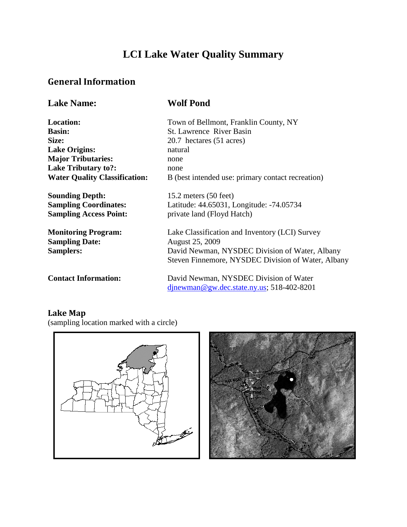# **LCI Lake Water Quality Summary**

## **General Information**

| <b>Lake Name:</b>                                                | <b>Wolf Pond</b>                                                                                                           |
|------------------------------------------------------------------|----------------------------------------------------------------------------------------------------------------------------|
| <b>Location:</b>                                                 | Town of Bellmont, Franklin County, NY                                                                                      |
| <b>Basin:</b>                                                    | St. Lawrence River Basin                                                                                                   |
| Size:                                                            | 20.7 hectares (51 acres)                                                                                                   |
| <b>Lake Origins:</b>                                             | natural                                                                                                                    |
| <b>Major Tributaries:</b>                                        | none                                                                                                                       |
| <b>Lake Tributary to?:</b>                                       | none                                                                                                                       |
| <b>Water Quality Classification:</b>                             | B (best intended use: primary contact recreation)                                                                          |
| <b>Sounding Depth:</b>                                           | 15.2 meters $(50$ feet)                                                                                                    |
| <b>Sampling Coordinates:</b>                                     | Latitude: 44.65031, Longitude: -74.05734                                                                                   |
| <b>Sampling Access Point:</b>                                    | private land (Floyd Hatch)                                                                                                 |
| <b>Monitoring Program:</b><br><b>Sampling Date:</b><br>Samplers: | Lake Classification and Inventory (LCI) Survey<br><b>August 25, 2009</b><br>David Newman, NYSDEC Division of Water, Albany |
|                                                                  | Steven Finnemore, NYSDEC Division of Water, Albany                                                                         |
| <b>Contact Information:</b>                                      | David Newman, NYSDEC Division of Water                                                                                     |
|                                                                  | $d$ jnewman@gw.dec.state.ny.us; 518-402-8201                                                                               |

# **Lake Map**

(sampling location marked with a circle)



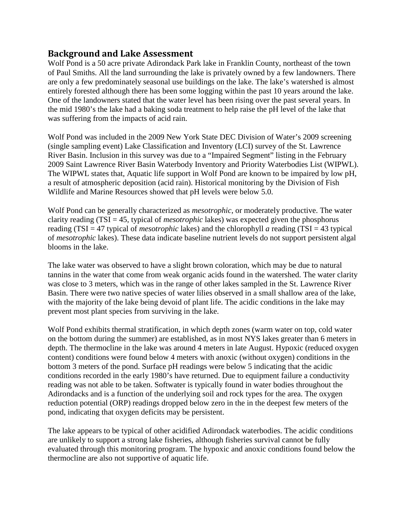### **Background and Lake Assessment**

Wolf Pond is a 50 acre private Adirondack Park lake in Franklin County, northeast of the town of Paul Smiths. All the land surrounding the lake is privately owned by a few landowners. There are only a few predominately seasonal use buildings on the lake. The lake's watershed is almost entirely forested although there has been some logging within the past 10 years around the lake. One of the landowners stated that the water level has been rising over the past several years. In the mid 1980's the lake had a baking soda treatment to help raise the pH level of the lake that was suffering from the impacts of acid rain.

Wolf Pond was included in the 2009 New York State DEC Division of Water's 2009 screening (single sampling event) Lake Classification and Inventory (LCI) survey of the St. Lawrence River Basin. Inclusion in this survey was due to a "Impaired Segment" listing in the February 2009 Saint Lawrence River Basin Waterbody Inventory and Priority Waterbodies List (WIPWL). The WIPWL states that, Aquatic life support in Wolf Pond are known to be impaired by low pH, a result of atmospheric deposition (acid rain). Historical monitoring by the Division of Fish Wildlife and Marine Resources showed that pH levels were below 5.0.

Wolf Pond can be generally characterized as *mesotrophic*, or moderately productive. The water clarity reading (TSI = 45, typical of *mesotrophic* lakes) was expected given the phosphorus reading (TSI = 47 typical of *mesotrophic* lakes) and the chlorophyll *a* reading (TSI = 43 typical of *mesotrophic* lakes). These data indicate baseline nutrient levels do not support persistent algal blooms in the lake.

The lake water was observed to have a slight brown coloration, which may be due to natural tannins in the water that come from weak organic acids found in the watershed. The water clarity was close to 3 meters, which was in the range of other lakes sampled in the St. Lawrence River Basin. There were two native species of water lilies observed in a small shallow area of the lake, with the majority of the lake being devoid of plant life. The acidic conditions in the lake may prevent most plant species from surviving in the lake.

Wolf Pond exhibits thermal stratification, in which depth zones (warm water on top, cold water on the bottom during the summer) are established, as in most NYS lakes greater than 6 meters in depth. The thermocline in the lake was around 4 meters in late August. Hypoxic (reduced oxygen content) conditions were found below 4 meters with anoxic (without oxygen) conditions in the bottom 3 meters of the pond. Surface pH readings were below 5 indicating that the acidic conditions recorded in the early 1980's have returned. Due to equipment failure a conductivity reading was not able to be taken. Softwater is typically found in water bodies throughout the Adirondacks and is a function of the underlying soil and rock types for the area. The oxygen reduction potential (ORP) readings dropped below zero in the in the deepest few meters of the pond, indicating that oxygen deficits may be persistent.

The lake appears to be typical of other acidified Adirondack waterbodies. The acidic conditions are unlikely to support a strong lake fisheries, although fisheries survival cannot be fully evaluated through this monitoring program. The hypoxic and anoxic conditions found below the thermocline are also not supportive of aquatic life.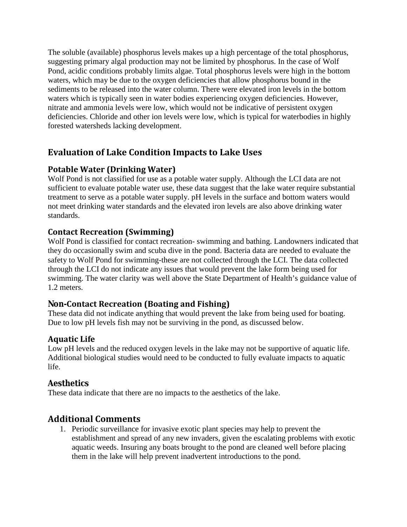The soluble (available) phosphorus levels makes up a high percentage of the total phosphorus, suggesting primary algal production may not be limited by phosphorus. In the case of Wolf Pond, acidic conditions probably limits algae. Total phosphorus levels were high in the bottom waters, which may be due to the oxygen deficiencies that allow phosphorus bound in the sediments to be released into the water column. There were elevated iron levels in the bottom waters which is typically seen in water bodies experiencing oxygen deficiencies. However, nitrate and ammonia levels were low, which would not be indicative of persistent oxygen deficiencies. Chloride and other ion levels were low, which is typical for waterbodies in highly forested watersheds lacking development.

## **Evaluation of Lake Condition Impacts to Lake Uses**

## **Potable Water (Drinking Water)**

Wolf Pond is not classified for use as a potable water supply. Although the LCI data are not sufficient to evaluate potable water use, these data suggest that the lake water require substantial treatment to serve as a potable water supply. pH levels in the surface and bottom waters would not meet drinking water standards and the elevated iron levels are also above drinking water standards.

## **Contact Recreation (Swimming)**

Wolf Pond is classified for contact recreation- swimming and bathing. Landowners indicated that they do occasionally swim and scuba dive in the pond. Bacteria data are needed to evaluate the safety to Wolf Pond for swimming-these are not collected through the LCI. The data collected through the LCI do not indicate any issues that would prevent the lake form being used for swimming. The water clarity was well above the State Department of Health's guidance value of 1.2 meters.

## **Non-Contact Recreation (Boating and Fishing)**

These data did not indicate anything that would prevent the lake from being used for boating. Due to low pH levels fish may not be surviving in the pond, as discussed below.

## **Aquatic Life**

Low pH levels and the reduced oxygen levels in the lake may not be supportive of aquatic life. Additional biological studies would need to be conducted to fully evaluate impacts to aquatic life.

## **Aesthetics**

These data indicate that there are no impacts to the aesthetics of the lake.

## **Additional Comments**

1. Periodic surveillance for invasive exotic plant species may help to prevent the establishment and spread of any new invaders, given the escalating problems with exotic aquatic weeds. Insuring any boats brought to the pond are cleaned well before placing them in the lake will help prevent inadvertent introductions to the pond.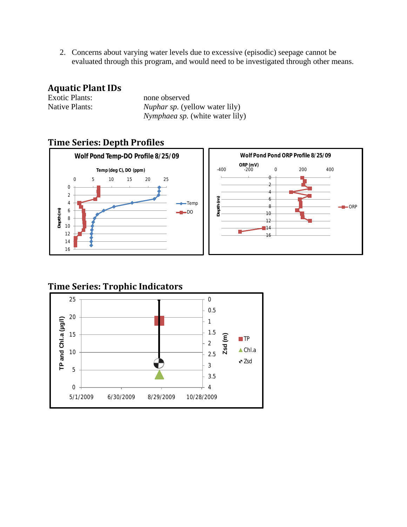2. Concerns about varying water levels due to excessive (episodic) seepage cannot be evaluated through this program, and would need to be investigated through other means.

### **Aquatic Plant IDs**

| <b>Exotic Plants:</b> | none ob       |
|-----------------------|---------------|
| <b>Native Plants:</b> | <b>Nuphar</b> |
|                       |               |

served sp. (yellow water lily) *Nymphaea sp.* (white water lily)

## **Time Series: Depth Profiles**



## **Time Series: Trophic Indicators**

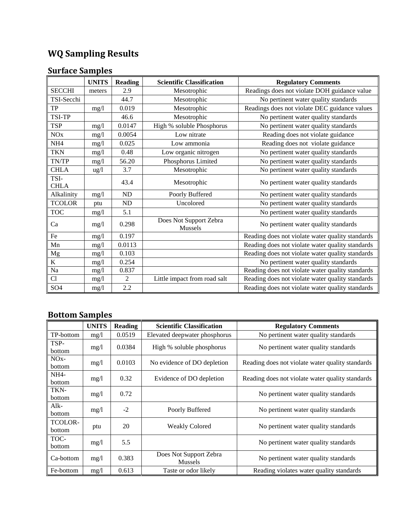# **WQ Sampling Results**

# **Surface Samples**

|                     | <b>UNITS</b>    | <b>Reading</b> | <b>Scientific Classification</b>  | <b>Regulatory Comments</b>                       |
|---------------------|-----------------|----------------|-----------------------------------|--------------------------------------------------|
| <b>SECCHI</b>       | meters          | 2.9            | Mesotrophic                       | Readings does not violate DOH guidance value     |
| TSI-Secchi          |                 | 44.7           | Mesotrophic                       | No pertinent water quality standards             |
| <b>TP</b>           | mg/1            | 0.019          | Mesotrophic                       | Readings does not violate DEC guidance values    |
| TSI-TP              |                 | 46.6           | Mesotrophic                       | No pertinent water quality standards             |
| <b>TSP</b>          | mg/1            | 0.0147         | High % soluble Phosphorus         | No pertinent water quality standards             |
| NOx                 | mg/1            | 0.0054         | Low nitrate                       | Reading does not violate guidance                |
| NH <sub>4</sub>     | mg/1            | 0.025          | Low ammonia                       | Reading does not violate guidance                |
| <b>TKN</b>          | mg/l            | 0.48           | Low organic nitrogen              | No pertinent water quality standards             |
| TN/TP               | mg/1            | 56.20          | Phosphorus Limited                | No pertinent water quality standards             |
| <b>CHLA</b>         | $\frac{u g}{l}$ | 3.7            | Mesotrophic                       | No pertinent water quality standards             |
| TSI-<br><b>CHLA</b> |                 | 43.4           | Mesotrophic                       | No pertinent water quality standards             |
| Alkalinity          | mg/l            | ND             | Poorly Buffered                   | No pertinent water quality standards             |
| <b>TCOLOR</b>       | ptu             | ND             | Uncolored                         | No pertinent water quality standards             |
| <b>TOC</b>          | mg/1            | 5.1            |                                   | No pertinent water quality standards             |
| Ca                  | mg/1            | 0.298          | Does Not Support Zebra<br>Mussels | No pertinent water quality standards             |
| Fe                  | mg/1            | 0.197          |                                   | Reading does not violate water quality standards |
| Mn                  | mg/1            | 0.0113         |                                   | Reading does not violate water quality standards |
| Mg                  | mg/1            | 0.103          |                                   | Reading does not violate water quality standards |
| $\rm K$             | mg/1            | 0.254          |                                   | No pertinent water quality standards             |
| Na                  | mg/1            | 0.837          |                                   | Reading does not violate water quality standards |
| Cl                  | mg/l            | 2              | Little impact from road salt      | Reading does not violate water quality standards |
| SO <sub>4</sub>     | mg/1            | 2.2            |                                   | Reading does not violate water quality standards |

# **Bottom Samples**

|                         | <b>UNITS</b> | Reading | <b>Scientific Classification</b>         | <b>Regulatory Comments</b>                       |
|-------------------------|--------------|---------|------------------------------------------|--------------------------------------------------|
| TP-bottom               | mg/1         | 0.0519  | Elevated deepwater phosphorus            | No pertinent water quality standards             |
| TSP-<br>bottom          | mg/1         | 0.0384  | High % soluble phosphorus                | No pertinent water quality standards             |
| $NOx-$<br><b>bottom</b> | mg/1         | 0.0103  | No evidence of DO depletion              | Reading does not violate water quality standards |
| $NH4-$<br>bottom        | mg/l         | 0.32    | Evidence of DO depletion                 | Reading does not violate water quality standards |
| TKN-<br><b>bottom</b>   | mg/1         | 0.72    |                                          | No pertinent water quality standards             |
| $Alk-$<br>bottom        | mg/1         | $-2$    | Poorly Buffered                          | No pertinent water quality standards             |
| TCOLOR-<br>bottom       | ptu          | 20      | <b>Weakly Colored</b>                    | No pertinent water quality standards             |
| TOC-<br>bottom          | mg/1         | 5.5     |                                          | No pertinent water quality standards             |
| Ca-bottom               | mg/1         | 0.383   | Does Not Support Zebra<br><b>Mussels</b> | No pertinent water quality standards             |
| Fe-bottom               | mg/1         | 0.613   | Taste or odor likely                     | Reading violates water quality standards         |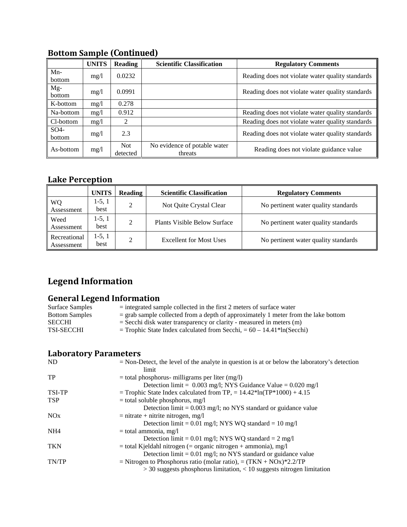|                           | <b>UNITS</b> | <b>Reading</b>  | <b>Scientific Classification</b>        | <b>Regulatory Comments</b>                       |
|---------------------------|--------------|-----------------|-----------------------------------------|--------------------------------------------------|
| $Mn-$<br>bottom           | mg/1         | 0.0232          |                                         | Reading does not violate water quality standards |
| Mg-<br><b>bottom</b>      | mg/l         | 0.0991          |                                         | Reading does not violate water quality standards |
| K-bottom                  | mg/l         | 0.278           |                                         |                                                  |
| Na-bottom                 | mg/1         | 0.912           |                                         | Reading does not violate water quality standards |
| Cl-bottom                 | mg/l         | 2               |                                         | Reading does not violate water quality standards |
| SO <sub>4</sub><br>bottom | mg/l         | 2.3             |                                         | Reading does not violate water quality standards |
| As-bottom                 | mg/l         | Not<br>detected | No evidence of potable water<br>threats | Reading does not violate guidance value          |

# **Bottom Sample (Continued)**

## **Lake Perception**

|                            | <b>UNITS</b>     | Reading | <b>Scientific Classification</b>    | <b>Regulatory Comments</b>           |
|----------------------------|------------------|---------|-------------------------------------|--------------------------------------|
| <b>WQ</b><br>Assessment    | $1-5, 1$<br>best | C.      | Not Quite Crystal Clear             | No pertinent water quality standards |
| Weed<br>Assessment         | 1-5, 1<br>best   |         | <b>Plants Visible Below Surface</b> | No pertinent water quality standards |
| Recreational<br>Assessment | $1-5, 1$<br>best |         | <b>Excellent for Most Uses</b>      | No pertinent water quality standards |

# **Legend Information**

### **General Legend Information**

| Surface Samples       | $=$ integrated sample collected in the first 2 meters of surface water               |
|-----------------------|--------------------------------------------------------------------------------------|
| <b>Bottom Samples</b> | $=$ grab sample collected from a depth of approximately 1 meter from the lake bottom |
| <b>SECCHI</b>         | $=$ Secchi disk water transparency or clarity - measured in meters (m)               |
| <b>TSI-SECCHI</b>     | $=$ Trophic State Index calculated from Secchi, $= 60 - 14.41*$ ln(Secchi)           |
|                       |                                                                                      |

# **Laboratory Parameters**

| N <sub>D</sub>  | $=$ Non-Detect, the level of the analyte in question is at or below the laboratory's detection |
|-----------------|------------------------------------------------------------------------------------------------|
|                 | limit                                                                                          |
| TP              | $=$ total phosphorus- milligrams per liter (mg/l)                                              |
|                 | Detection limit = $0.003$ mg/l; NYS Guidance Value = $0.020$ mg/l                              |
| TSI-TP          | = Trophic State Index calculated from TP, = $14.42*ln(TP*1000) + 4.15$                         |
| <b>TSP</b>      | $=$ total soluble phosphorus, mg/l                                                             |
|                 | Detection $\lim_{t=0}$ = 0.003 mg/l; no NYS standard or guidance value                         |
| NOx             | $=$ nitrate + nitrite nitrogen, mg/l                                                           |
|                 | Detection limit = $0.01$ mg/l; NYS WQ standard = $10$ mg/l                                     |
| NH <sub>4</sub> | $=$ total ammonia, mg/l                                                                        |
|                 | Detection limit = $0.01$ mg/l; NYS WQ standard = $2$ mg/l                                      |
| <b>TKN</b>      | $=$ total Kjeldahl nitrogen ( $=$ organic nitrogen + ammonia), mg/l                            |
|                 | Detection $\text{limit} = 0.01 \text{ mg/l}$ ; no NYS standard or guidance value               |
| TN/TP           | = Nitrogen to Phosphorus ratio (molar ratio), = $(TKN + NOx)*2.2/TP$                           |
|                 | $>$ 30 suggests phosphorus limitation, $<$ 10 suggests nitrogen limitation                     |